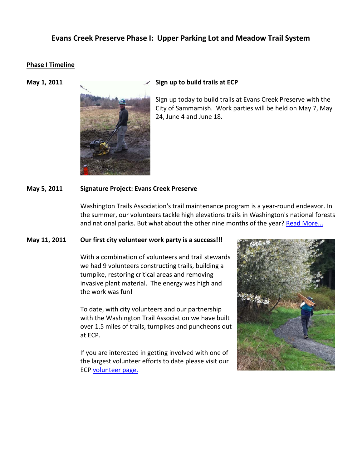# **Evans Creek Preserve Phase I: Upper Parking Lot and Meadow Trail System**

#### **Phase I Timeline**



#### **May 1, 2011** Sign up to build trails at ECP

Sign up today to build trails at Evans Creek Preserve with the City of Sammamish. Work parties will be held on May 7, May 24, June 4 and June 18.

#### **May 5, 2011 Signature Project: Evans Creek Preserve**

Washington Trails Association's trail maintenance program is a year-round endeavor. In the summer, our volunteers tackle high elevations trails in Washington's national forests and national parks. But what about the other nine months of the year? [Read More...](http://www.wta.org/volunteer/signature-projects/signature-project-evans-creek)

### **May 11, 2011 Our first city volunteer work party is a success!!!**

With a combination of volunteers and trail stewards we had 9 volunteers constructing trails, building a turnpike, restoring critical areas and removing invasive plant material. The energy was high and the work was fun!

To date, with city volunteers and our partnership with the Washington Trail Association we have built over 1.5 miles of trails, turnpikes and puncheons out at ECP.

If you are interested in getting involved with one of the largest volunteer efforts to date please visit our ECP [volunteer page.](https://www.ci.sammamish.wa.us/departments/parksandrec/projects/EvansCreekPreserve.aspx?Show=Volunteer)

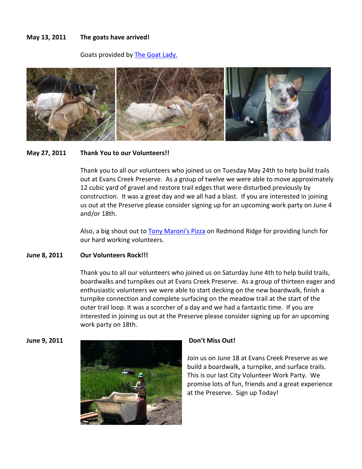#### **May 13, 2011 The goats have arrived!**

Goats provided by **The Goat Lady.** 



#### **May 27, 2011 Thank You to our Volunteers!!**

Thank you to all our volunteers who joined us on Tuesday May 24th to help build trails out at Evans Creek Preserve. As a group of twelve we were able to move approximately 12 cubic yard of gravel and restore trail edges that were disturbed previously by construction. It was a great day and we all had a blast. If you are interested in joining us out at the Preserve please consider signing up for an upcoming work party on June 4 and/or 18th.

Also, a big shout out to [Tony Maroni's Pizza](http://www.tonymaronispizza.com/) on Redmond Ridge for providing lunch for our hard working volunteers.

#### **June 8, 2011 Our Volunteers Rock!!!**

Thank you to all our volunteers who joined us on Saturday June 4th to help build trails, boardwalks and turnpikes out at Evans Creek Preserve. As a group of thirteen eager and enthusiastic volunteers we were able to start decking on the new boardwalk, finish a turnpike connection and complete surfacing on the meadow trail at the start of the outer trail loop. It was a scorcher of a day and we had a fantastic time. If you are interested in joining us out at the Preserve please consider signing up for an upcoming work party on 18th.



Join us on June 18 at Evans Creek Preserve as we build a boardwalk, a turnpike, and surface trails. This is our last City Volunteer Work Party. We promise lots of fun, friends and a great experience at the Preserve. Sign up Today!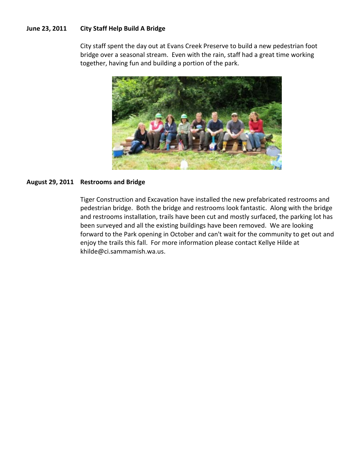## **June 23, 2011 City Staff Help Build A Bridge**

City staff spent the day out at Evans Creek Preserve to build a new pedestrian foot bridge over a seasonal stream. Even with the rain, staff had a great time working together, having fun and building a portion of the park.



#### **August 29, 2011 Restrooms and Bridge**

Tiger Construction and Excavation have installed the new prefabricated restrooms and pedestrian bridge. Both the bridge and restrooms look fantastic. Along with the bridge and restrooms installation, trails have been cut and mostly surfaced, the parking lot has been surveyed and all the existing buildings have been removed. We are looking forward to the Park opening in October and can't wait for the community to get out and enjoy the trails this fall. For more information please contact Kellye Hilde at khilde@ci.sammamish.wa.us.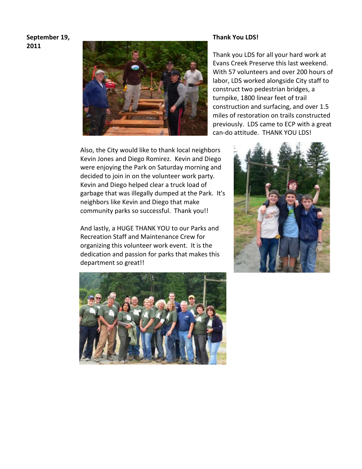# **September 19, 2011**



Also, the City would like to thank local neighbors Kevin Jones and Diego Romirez. Kevin and Diego were enjoying the Park on Saturday morning and decided to join in on the volunteer work party. Kevin and Diego helped clear a truck load of garbage that was illegally dumped at the Park. It's neighbors like Kevin and Diego that make community parks so successful. Thank you!!

And lastly, a HUGE THANK YOU to our Parks and Recreation Staff and Maintenance Crew for organizing this volunteer work event. It is the dedication and passion for parks that makes this department so great!!



#### **Thank You LDS!**

Thank you LDS for all your hard work at Evans Creek Preserve this last weekend. With 57 volunteers and over 200 hours of labor, LDS worked alongside City staff to construct two pedestrian bridges, a turnpike, 1800 linear feet of trail construction and surfacing, and over 1.5 miles of restoration on trails constructed previously. LDS came to ECP with a great can-do attitude. THANK YOU LDS!

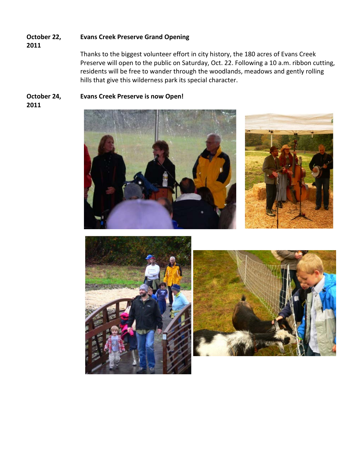#### **October 22, Evans Creek Preserve Grand Opening**

**2011**

Thanks to the biggest volunteer effort in city history, the 180 acres of Evans Creek Preserve will open to the public on Saturday, Oct. 22. Following a 10 a.m. ribbon cutting, residents will be free to wander through the woodlands, meadows and gently rolling hills that give this wilderness park its special character.

#### **October 24, 2011 Evans Creek Preserve is now Open!**